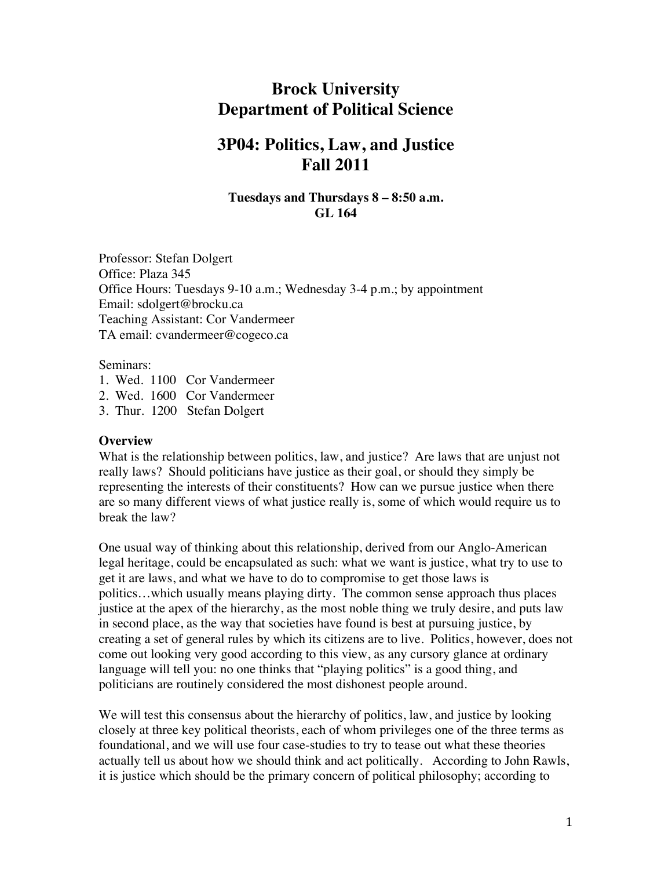# **Brock University Department of Political Science**

# **3P04: Politics, Law, and Justice Fall 2011**

### **Tuesdays and Thursdays 8 – 8:50 a.m. GL 164**

Professor: Stefan Dolgert Office: Plaza 345 Office Hours: Tuesdays 9-10 a.m.; Wednesday 3-4 p.m.; by appointment Email: sdolgert@brocku.ca Teaching Assistant: Cor Vandermeer TA email: cvandermeer@cogeco.ca

Seminars:

- 1. Wed. 1100 Cor Vandermeer
- 2. Wed. 1600 Cor Vandermeer
- 3. Thur. 1200 Stefan Dolgert

#### **Overview**

What is the relationship between politics, law, and justice? Are laws that are unjust not really laws? Should politicians have justice as their goal, or should they simply be representing the interests of their constituents? How can we pursue justice when there are so many different views of what justice really is, some of which would require us to break the law?

One usual way of thinking about this relationship, derived from our Anglo-American legal heritage, could be encapsulated as such: what we want is justice, what try to use to get it are laws, and what we have to do to compromise to get those laws is politics…which usually means playing dirty. The common sense approach thus places justice at the apex of the hierarchy, as the most noble thing we truly desire, and puts law in second place, as the way that societies have found is best at pursuing justice, by creating a set of general rules by which its citizens are to live. Politics, however, does not come out looking very good according to this view, as any cursory glance at ordinary language will tell you: no one thinks that "playing politics" is a good thing, and politicians are routinely considered the most dishonest people around.

We will test this consensus about the hierarchy of politics, law, and justice by looking closely at three key political theorists, each of whom privileges one of the three terms as foundational, and we will use four case-studies to try to tease out what these theories actually tell us about how we should think and act politically. According to John Rawls, it is justice which should be the primary concern of political philosophy; according to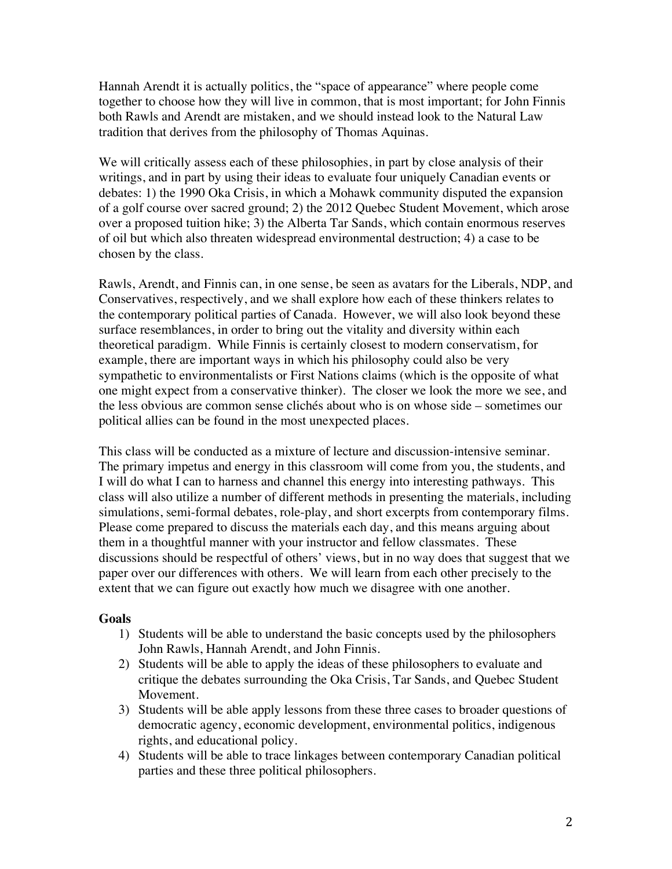Hannah Arendt it is actually politics, the "space of appearance" where people come together to choose how they will live in common, that is most important; for John Finnis both Rawls and Arendt are mistaken, and we should instead look to the Natural Law tradition that derives from the philosophy of Thomas Aquinas.

We will critically assess each of these philosophies, in part by close analysis of their writings, and in part by using their ideas to evaluate four uniquely Canadian events or debates: 1) the 1990 Oka Crisis, in which a Mohawk community disputed the expansion of a golf course over sacred ground; 2) the 2012 Quebec Student Movement, which arose over a proposed tuition hike; 3) the Alberta Tar Sands, which contain enormous reserves of oil but which also threaten widespread environmental destruction; 4) a case to be chosen by the class.

Rawls, Arendt, and Finnis can, in one sense, be seen as avatars for the Liberals, NDP, and Conservatives, respectively, and we shall explore how each of these thinkers relates to the contemporary political parties of Canada. However, we will also look beyond these surface resemblances, in order to bring out the vitality and diversity within each theoretical paradigm. While Finnis is certainly closest to modern conservatism, for example, there are important ways in which his philosophy could also be very sympathetic to environmentalists or First Nations claims (which is the opposite of what one might expect from a conservative thinker). The closer we look the more we see, and the less obvious are common sense clichés about who is on whose side – sometimes our political allies can be found in the most unexpected places.

This class will be conducted as a mixture of lecture and discussion-intensive seminar. The primary impetus and energy in this classroom will come from you, the students, and I will do what I can to harness and channel this energy into interesting pathways. This class will also utilize a number of different methods in presenting the materials, including simulations, semi-formal debates, role-play, and short excerpts from contemporary films. Please come prepared to discuss the materials each day, and this means arguing about them in a thoughtful manner with your instructor and fellow classmates. These discussions should be respectful of others' views, but in no way does that suggest that we paper over our differences with others. We will learn from each other precisely to the extent that we can figure out exactly how much we disagree with one another.

#### **Goals**

- 1) Students will be able to understand the basic concepts used by the philosophers John Rawls, Hannah Arendt, and John Finnis.
- 2) Students will be able to apply the ideas of these philosophers to evaluate and critique the debates surrounding the Oka Crisis, Tar Sands, and Quebec Student Movement.
- 3) Students will be able apply lessons from these three cases to broader questions of democratic agency, economic development, environmental politics, indigenous rights, and educational policy.
- 4) Students will be able to trace linkages between contemporary Canadian political parties and these three political philosophers.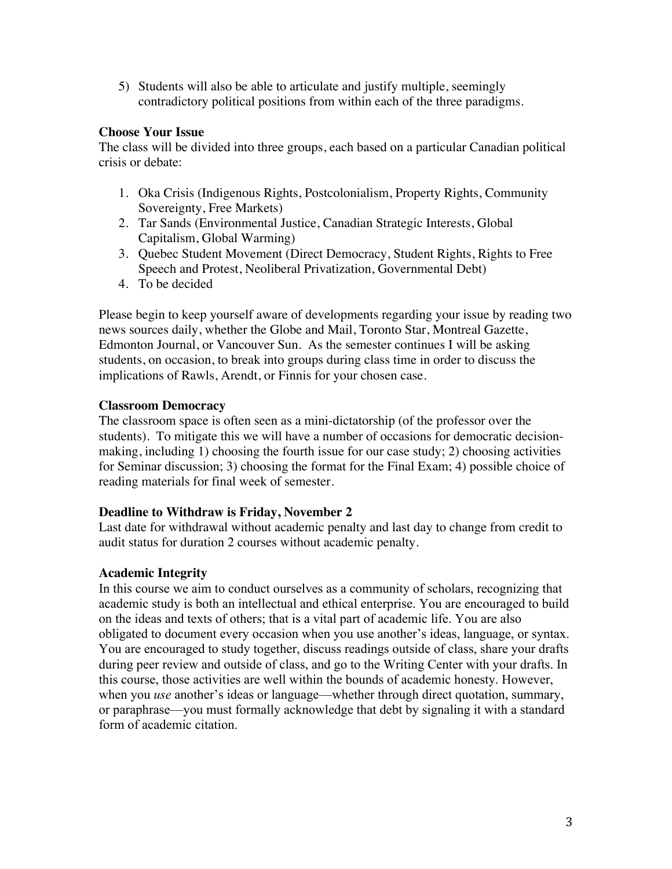5) Students will also be able to articulate and justify multiple, seemingly contradictory political positions from within each of the three paradigms.

# **Choose Your Issue**

The class will be divided into three groups, each based on a particular Canadian political crisis or debate:

- 1. Oka Crisis (Indigenous Rights, Postcolonialism, Property Rights, Community Sovereignty, Free Markets)
- 2. Tar Sands (Environmental Justice, Canadian Strategic Interests, Global Capitalism, Global Warming)
- 3. Quebec Student Movement (Direct Democracy, Student Rights, Rights to Free Speech and Protest, Neoliberal Privatization, Governmental Debt)
- 4. To be decided

Please begin to keep yourself aware of developments regarding your issue by reading two news sources daily, whether the Globe and Mail, Toronto Star, Montreal Gazette, Edmonton Journal, or Vancouver Sun. As the semester continues I will be asking students, on occasion, to break into groups during class time in order to discuss the implications of Rawls, Arendt, or Finnis for your chosen case.

# **Classroom Democracy**

The classroom space is often seen as a mini-dictatorship (of the professor over the students). To mitigate this we will have a number of occasions for democratic decisionmaking, including 1) choosing the fourth issue for our case study; 2) choosing activities for Seminar discussion; 3) choosing the format for the Final Exam; 4) possible choice of reading materials for final week of semester.

# **Deadline to Withdraw is Friday, November 2**

Last date for withdrawal without academic penalty and last day to change from credit to audit status for duration 2 courses without academic penalty.

# **Academic Integrity**

In this course we aim to conduct ourselves as a community of scholars, recognizing that academic study is both an intellectual and ethical enterprise. You are encouraged to build on the ideas and texts of others; that is a vital part of academic life. You are also obligated to document every occasion when you use another's ideas, language, or syntax. You are encouraged to study together, discuss readings outside of class, share your drafts during peer review and outside of class, and go to the Writing Center with your drafts. In this course, those activities are well within the bounds of academic honesty. However, when you *use* another's ideas or language—whether through direct quotation, summary, or paraphrase—you must formally acknowledge that debt by signaling it with a standard form of academic citation.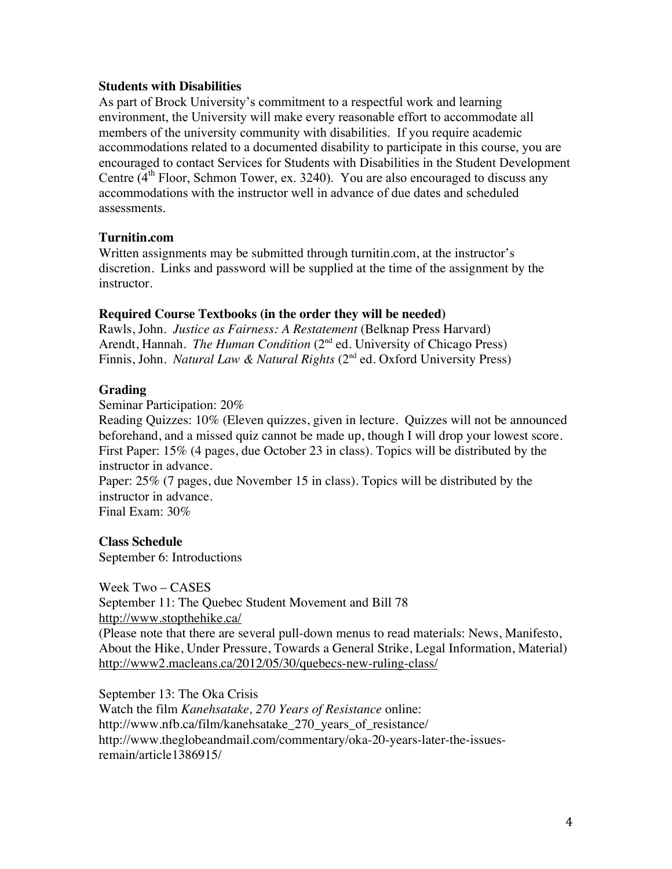#### **Students with Disabilities**

As part of Brock University's commitment to a respectful work and learning environment, the University will make every reasonable effort to accommodate all members of the university community with disabilities. If you require academic accommodations related to a documented disability to participate in this course, you are encouraged to contact Services for Students with Disabilities in the Student Development Centre  $(4<sup>th</sup>$  Floor, Schmon Tower, ex. 3240). You are also encouraged to discuss any accommodations with the instructor well in advance of due dates and scheduled assessments.

#### **Turnitin.com**

Written assignments may be submitted through turnitin.com, at the instructor's discretion. Links and password will be supplied at the time of the assignment by the instructor.

#### **Required Course Textbooks (in the order they will be needed)**

Rawls, John. *Justice as Fairness: A Restatement* (Belknap Press Harvard) Arendt, Hannah. *The Human Condition* (2<sup>nd</sup> ed. University of Chicago Press) Finnis, John. *Natural Law & Natural Rights* (2<sup>nd</sup> ed. Oxford University Press)

#### **Grading**

Seminar Participation: 20%

Reading Quizzes: 10% (Eleven quizzes, given in lecture. Quizzes will not be announced beforehand, and a missed quiz cannot be made up, though I will drop your lowest score. First Paper: 15% (4 pages, due October 23 in class). Topics will be distributed by the instructor in advance.

Paper: 25% (7 pages, due November 15 in class). Topics will be distributed by the instructor in advance.

Final Exam: 30%

**Class Schedule** September 6: Introductions

Week Two – CASES September 11: The Quebec Student Movement and Bill 78 http://www.stopthehike.ca/ (Please note that there are several pull-down menus to read materials: News, Manifesto, About the Hike, Under Pressure, Towards a General Strike, Legal Information, Material) http://www2.macleans.ca/2012/05/30/quebecs-new-ruling-class/

September 13: The Oka Crisis Watch the film *Kanehsatake, 270 Years of Resistance* online: http://www.nfb.ca/film/kanehsatake\_270\_years\_of\_resistance/ http://www.theglobeandmail.com/commentary/oka-20-years-later-the-issuesremain/article1386915/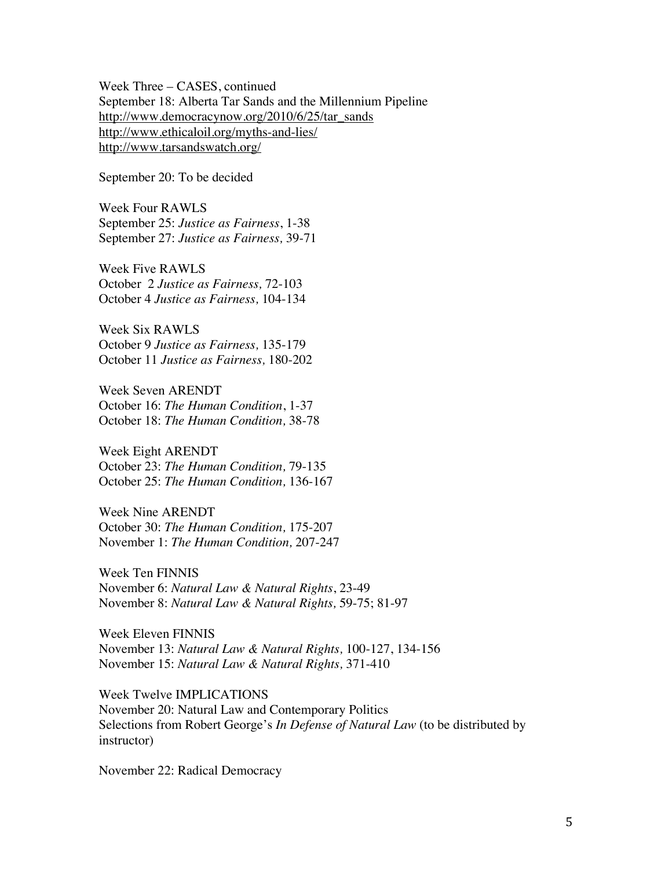Week Three – CASES, continued September 18: Alberta Tar Sands and the Millennium Pipeline http://www.democracynow.org/2010/6/25/tar\_sands http://www.ethicaloil.org/myths-and-lies/ http://www.tarsandswatch.org/

September 20: To be decided

Week Four RAWLS September 25: *Justice as Fairness*, 1-38 September 27: *Justice as Fairness,* 39-71

Week Five RAWLS October 2 *Justice as Fairness,* 72-103 October 4 *Justice as Fairness,* 104-134

Week Six RAWLS October 9 *Justice as Fairness,* 135-179 October 11 *Justice as Fairness,* 180-202

Week Seven ARENDT October 16: *The Human Condition*, 1-37 October 18: *The Human Condition,* 38-78

Week Eight ARENDT October 23: *The Human Condition,* 79-135 October 25: *The Human Condition,* 136-167

Week Nine ARENDT October 30: *The Human Condition,* 175-207 November 1: *The Human Condition,* 207-247

Week Ten FINNIS November 6: *Natural Law & Natural Rights*, 23-49 November 8: *Natural Law & Natural Rights,* 59-75; 81-97

Week Eleven FINNIS November 13: *Natural Law & Natural Rights,* 100-127, 134-156 November 15: *Natural Law & Natural Rights,* 371-410

Week Twelve IMPLICATIONS November 20: Natural Law and Contemporary Politics Selections from Robert George's *In Defense of Natural Law* (to be distributed by instructor)

November 22: Radical Democracy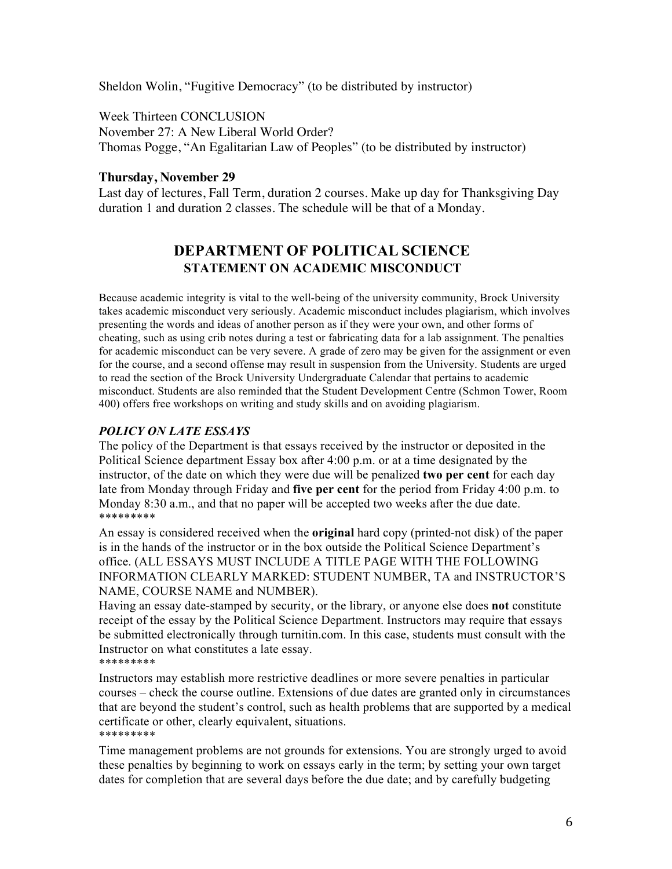Sheldon Wolin, "Fugitive Democracy" (to be distributed by instructor)

Week Thirteen CONCLUSION November 27: A New Liberal World Order? Thomas Pogge, "An Egalitarian Law of Peoples" (to be distributed by instructor)

### **Thursday, November 29**

Last day of lectures, Fall Term, duration 2 courses. Make up day for Thanksgiving Day duration 1 and duration 2 classes. The schedule will be that of a Monday.

# **DEPARTMENT OF POLITICAL SCIENCE STATEMENT ON ACADEMIC MISCONDUCT**

Because academic integrity is vital to the well-being of the university community, Brock University takes academic misconduct very seriously. Academic misconduct includes plagiarism, which involves presenting the words and ideas of another person as if they were your own, and other forms of cheating, such as using crib notes during a test or fabricating data for a lab assignment. The penalties for academic misconduct can be very severe. A grade of zero may be given for the assignment or even for the course, and a second offense may result in suspension from the University. Students are urged to read the section of the Brock University Undergraduate Calendar that pertains to academic misconduct. Students are also reminded that the Student Development Centre (Schmon Tower, Room 400) offers free workshops on writing and study skills and on avoiding plagiarism.

# *POLICY ON LATE ESSAYS*

The policy of the Department is that essays received by the instructor or deposited in the Political Science department Essay box after 4:00 p.m. or at a time designated by the instructor, of the date on which they were due will be penalized **two per cent** for each day late from Monday through Friday and **five per cent** for the period from Friday 4:00 p.m. to Monday 8:30 a.m., and that no paper will be accepted two weeks after the due date. \*\*\*\*\*\*\*\*\*

An essay is considered received when the **original** hard copy (printed-not disk) of the paper is in the hands of the instructor or in the box outside the Political Science Department's office. (ALL ESSAYS MUST INCLUDE A TITLE PAGE WITH THE FOLLOWING INFORMATION CLEARLY MARKED: STUDENT NUMBER, TA and INSTRUCTOR'S NAME, COURSE NAME and NUMBER).

Having an essay date-stamped by security, or the library, or anyone else does **not** constitute receipt of the essay by the Political Science Department. Instructors may require that essays be submitted electronically through turnitin.com. In this case, students must consult with the Instructor on what constitutes a late essay. \*\*\*\*\*\*\*\*\*

Instructors may establish more restrictive deadlines or more severe penalties in particular courses – check the course outline. Extensions of due dates are granted only in circumstances that are beyond the student's control, such as health problems that are supported by a medical certificate or other, clearly equivalent, situations. \*\*\*\*\*\*\*\*\*

Time management problems are not grounds for extensions. You are strongly urged to avoid these penalties by beginning to work on essays early in the term; by setting your own target dates for completion that are several days before the due date; and by carefully budgeting